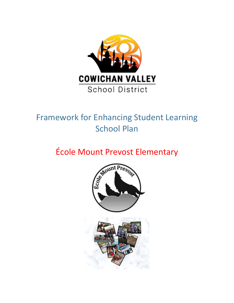

## Framework for Enhancing Student Learning School Plan

# École Mount Prevost Elementary

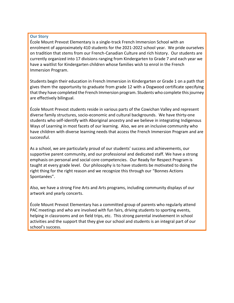#### **Our Story**

École Mount Prevost Elementary is a single-track French Immersion School with an enrolment of approximately 410 students for the 2021-2022 school year. We pride ourselves on tradition that stems from our French-Canadian Culture and rich history. Our students are currently organized into 17 divisions ranging from Kindergarten to Grade 7 and each year we have a waitlist for Kindergarten children whose families wish to enrol in the French Immersion Program.

Students begin their education in French Immersion in Kindergarten or Grade 1 on a path that gives them the opportunity to graduate from grade 12 with a Dogwood certificate specifying that they have completed the French Immersion program. Students who complete this journey are effectively bilingual.

École Mount Prevost students reside in various parts of the Cowichan Valley and represent diverse family structures, socio-economic and cultural backgrounds. We have thirty-one students who self-identify with Aboriginal ancestry and we believe in integrating Indigenous Ways of Learning in most facets of our learning. Also, we are an inclusive community who have children with diverse learning needs that access the French Immersion Program and are successful.

As a school, we are particularly proud of our students' success and achievements, our supportive parent community, and our professional and dedicated staff. We have a strong emphasis on personal and social core competencies. Our Ready for Respect Program is taught at every grade level. Our philosophy is to have students be motivated to doing the right thing for the right reason and we recognize this through our "Bonnes Actions Spontanées".

Also, we have a strong Fine Arts and Arts programs, including community displays of our artwork and yearly concerts.

École Mount Prevost Elementary has a committed group of parents who regularly attend PAC meetings and who are involved with fun fairs, driving students to sporting events, helping in classrooms and on field trips, etc. This strong parental involvement in school activities and the support that they give our school and students is an integral part of our school's success.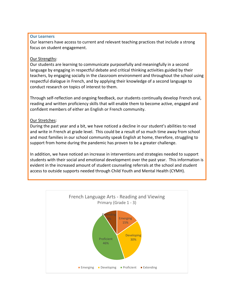#### **Our Learners**

Our learners have access to current and relevant teaching practices that include a strong focus on student engagement.

### Our Strengths:

Our students are learning to communicate purposefully and meaningfully in a second language by engaging in respectful debate and critical thinking activities guided by their teachers, by engaging socially in the classroom environment and throughout the school using respectful dialogue in French, and by applying their knowledge of a second language to conduct research on topics of interest to them.

Through self-reflection and ongoing feedback, our students continually develop French oral, reading and written proficiency skills that will enable them to become active, engaged and confident members of either an English or French community.

## Our Stretches:

During the past year and a bit, we have noticed a decline in our student's abilities to read and write in French at grade level. This could be a result of so much time away from school and most families in our school community speak English at home, therefore, struggling to support from home during the pandemic has proven to be a greater challenge.

In addition, we have noticed an increase in interventions and strategies needed to support students with their social and emotional development over the past year. This information is evident in the increased amount of student counseling referrals at the school and student access to outside supports needed through Child Youth and Mental Health (CYMH).

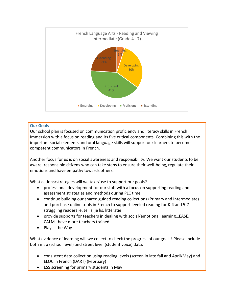

## **Our Goals**

Our school plan is focused on communication proficiency and literacy skills in French Immersion with a focus on reading and its five critical components. Combining this with the important social elements and oral language skills will support our learners to become competent communicators in French.

Another focus for us is on social awareness and responsibility. We want our students to be aware, responsible citizens who can take steps to ensure their well-being, regulate their emotions and have empathy towards others.

What actions/strategies will we take/use to support our goals?

- professional development for our staff with a focus on supporting reading and assessment strategies and methods during PLC time
- continue building our shared guided reading collections (Primary and Intermediate) and purchase online tools in French to support leveled reading for K-4 and 5-7 struggling readers ie. Je lis, je lis, littératie
- provide supports for teachers in dealing with social/emotional learning…EASE, CALM…have more teachers trained
- $\bullet$  Play is the Way

What evidence of learning will we collect to check the progress of our goals? Please include both map (school level) and street level (student voice) data.

- consistent data collection using reading levels (screen in late fall and April/May) and ELOC in French (DART) (February)
- ESS screening for primary students in May